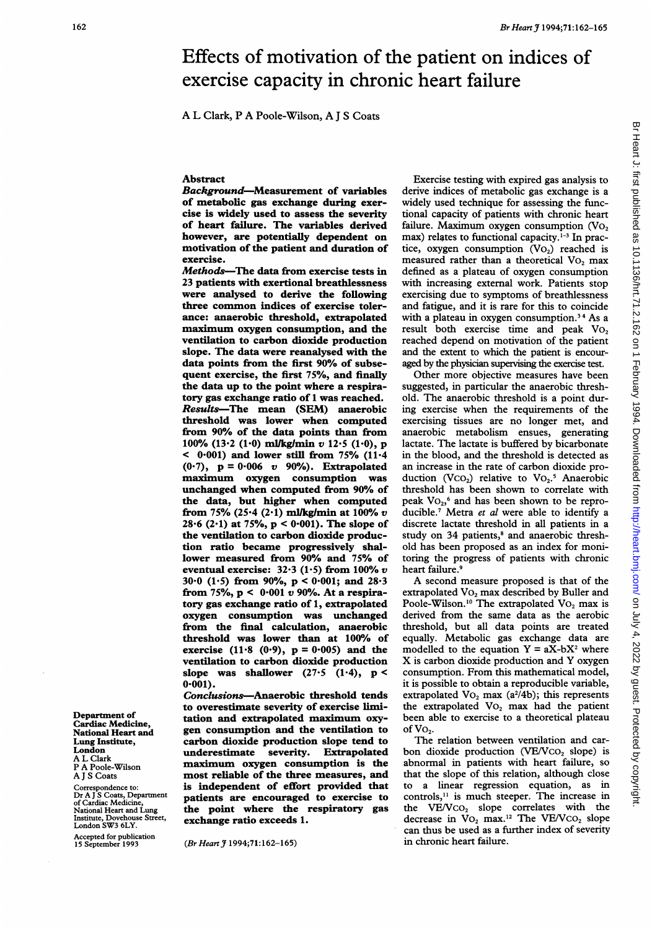# Effects of motivation of the patient on indices of exercise capacity in chronic heart failure

A L Clark, P A Poole-Wilson, A <sup>J</sup> <sup>S</sup> Coats

## Abstract

Background-Measurement of variables of metabolic gas exchange during exercise is widely used to assess the severity of heart failure. The variables derived however, are potentially dependent on motivation of the patient and duration of exercise.

Methods-The data from exercise tests in 23 patients with exertional breathlessness were analysed to derive the following three common indices of exercise tolerance: anaerobic threshold, extrapolated maximum oxygen consumption, and the ventilation to carbon dioxide production slope. The data were reanalysed with the data points from the first 90% of subsequent exercise, the first 75%, and finally the data up to the point where a respiratory gas exchange ratio of <sup>1</sup> was reached. Results-The mean (SEM) anaerobic threshold was lower when computed from 90% of the data points than from 100% (13.2 (1.0) ml/kg/min v 12.5 (1.0), p  $<$  0.001) and lower still from 75% (11.4) (0.7),  $p = 0.006$  v 90%). Extrapolated maximum oxygen consumption was unchanged when computed from 90% of the data, but higher when computed from 75% (25.4 (2.1) ml/kg/min at  $100\%$  v 28.6 (2.1) at 75%,  $p < 0.001$ ). The slope of the ventilation to carbon dioxide production ratio became progressively shallower measured from 90% and 75% of eventual exercise:  $32.3$  (1.5) from 100% v 30.0 (1.5) from 90%,  $p < 0.001$ ; and 28.3 from 75%,  $p < 0.001 v$  90%. At a respiratory gas exchange ratio of 1, extrapolated oxygen consumption was unchanged from the final calculation, anaerobic threshold was lower than at 100% of exercise (11.8 (0.9),  $p = 0.005$ ) and the ventilation to carbon dioxide production slope was shallower  $(27.5 \t(1.4), p <$  $0.001$ ).

Conclusions-Anaerobic threshold tends to overestimate severity of exercise limitation and extrapolated maximum oxygen consumption and the ventilation to carbon dioxide production slope tend to underestimate severity. Extrapolated maximum oxygen consumption is the most reliable of the three measures, and is independent of effort provided that patients are encouraged to exercise to the point where the respiratory gas exchange ratio exceeds 1.

(Br Heart J 1994;71:162-165)

Exercise testing with expired gas analysis to derive indices of metabolic gas exchange is a widely used technique for assessing the functional capacity of patients with chronic heart failure. Maximum oxygen consumption  $(Vo<sub>2</sub>)$ max) relates to functional capacity.<sup>1-3</sup> In practice, oxygen consumption  $(VO<sub>2</sub>)$  reached is measured rather than a theoretical Vo<sub>2</sub> max defined as a plateau of oxygen consumption with increasing external work. Patients stop exercising due to symptoms of breathlessness and fatigue, and it is rare for this to coincide with a plateau in oxygen consumption.<sup>34</sup> As a result both exercise time and peak  $Vo_2$ reached depend on motivation of the patient and the extent to which the patient is encouraged by the physician supervising the exercise test.

Other more objective measures have been suggested, in particular the anaerobic threshold. The anaerobic threshold is a point during exercise when the requirements of the exercising tissues are no longer met, and anaerobic metabolism ensues, generating lactate. The lactate is buffered by bicarbonate in the blood, and the threshold is detected as an increase in the rate of carbon dioxide production (Vco<sub>2</sub>) relative to Vo<sub>2</sub>.<sup>5</sup> Anaerobic threshold has been shown to correlate with peak  $\text{Vo}_{22}$ <sup>6</sup> and has been shown to be reproducible.<sup>7</sup> Metra et al were able to identify a discrete lactate threshold in all patients in a study on 34 patients,<sup>8</sup> and anaerobic threshold has been proposed as an index for monitoring the progress of patients with chronic heart failure.<sup>9</sup>

A second measure proposed is that of the extrapolated VO<sub>2</sub> max described by Buller and Poole-Wilson.<sup>10</sup> The extrapolated  $\text{Vo}_2$  max is derived from the same data as the aerobic threshold, but all data points are treated equally. Metabolic gas exchange data are modelled to the equation  $Y = aX-bX^2$  where X is carbon dioxide production and Y oxygen consumption. From this mathematical model, it is possible to obtain a reproducible variable, extrapolated  $Vo_2$  max (a<sup>2</sup>/4b); this represents the extrapolated  $Vo_2$  max had the patient been able to exercise to a theoretical plateau of  $Vo_2$ .

The relation between ventilation and carbon dioxide production (VE/VcO<sub>2</sub> slope) is abnormal in patients with heart failure, so that the slope of this relation, although close to a linear regression equation, as in controls," is much steeper. The increase in the  $VE/VCO<sub>2</sub>$  slope correlates with the decrease in  $Vo_2$  max.<sup>12</sup> The VE/VCO<sub>2</sub> slope can thus be used as a further index of severity in chronic heart failure.

Department of Cardiac Medicine, National Heart and Lung Institute, London AL Clark P A Poole-Wilson A <sup>J</sup> S Coats

Correspondence to: Dr A J`S Coats, Department<br>of Cardiac Medicine,<br>National Heart and Lung Institute, Dovehouse Street, London SW3 6LY.

Accepted for publication 15 September 1993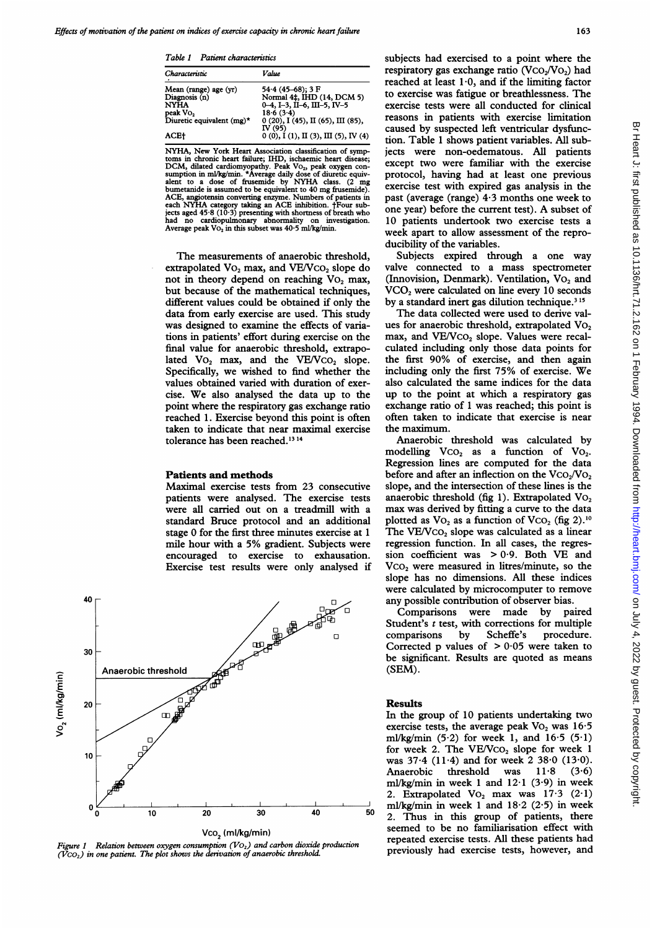Table 1 Patient characteristics

| Characteristic                                                                                            | Value                                                                                                                                                                                            |
|-----------------------------------------------------------------------------------------------------------|--------------------------------------------------------------------------------------------------------------------------------------------------------------------------------------------------|
| Mean (range) age (yr)<br>Diagnosis (n)<br><b>NYHA</b><br>peak Vo,<br>Diuretic equivalent $(mg)^*$<br>ACE† | $54.4$ (45–68); 3 F<br>Normal 4‡, IHD (14, DCM 5)<br>$0-4$ , I-3, II-6, III-5, IV-5<br>18.6(3.4)<br>$0(20)$ , I $(45)$ , II $(65)$ , III $(85)$ ,<br>IV (95)<br>0(0), I(1), II(3), III(5), IV(4) |

NYHA, New York Heart Association classification of symp-toms in chronic heart failure; IHD, ischaemic heart disease; DCM, dilated cardiomyopathy. Peak VO<sub>2</sub>, peak oxygen con-<br>sumption in ml/kg/min. \*Average daily dose of diuretic equiv-<br>alent to a dose of frusemide by NYHA class. (2 mg<br>bumetanide is assumed to be equivalent to 40 mg frus ACE, angiotensin converting enzyme. Numbers of patients in<br>each NYHA category taking an ACE inhibition. †Four sub-<br>jects aged 45-8 (10.3) presenting with shortness of breath who<br>had no cardiopulmonary abnormality on invest Average peak  $\text{Vo}_2$  in this subset was  $40.5 \text{ ml/kg/min}$ .

The measurements of anaerobic threshold, extrapolated  $Vo_2$  max, and  $VE/Vco_2$  slope do not in theory depend on reaching  $Vo_2$  max, but because of the mathematical techniques, different values could be obtained if only the data from early exercise are used. This study was designed to examine the effects of variations in patients' effort during exercise on the final value for anaerobic threshold, extrapolated  $Vo_2$  max, and the  $VE/VCO_2$  slope. Specifically, we wished to find whether the values obtained varied with duration of exercise. We also analysed the data up to the point where the respiratory gas exchange ratio reached 1. Exercise beyond this point is often taken to indicate that near maximal exercise tolerance has been reached.<sup>1314</sup>

#### Patients and methods

Maximal exercise tests from 23 consecutive patients were analysed. The exercise tests were all carried out on a treadmill with a standard Bruce protocol and an additional stage 0 for the first three minutes exercise at <sup>1</sup> mile hour with <sup>a</sup> 5% gradient. Subjects were encouraged to exercise to exhausation. Exercise test results were only analysed if



Figure 1 Relation between oxygen consumption  $(VO<sub>2</sub>)$  and carbon dioxide production  $(VCO<sub>2</sub>)$  in one patient. The plot shows the derivation of anaerobic threshold.

subjects had exercised to a point where the respiratory gas exchange ratio  $(VCO<sub>2</sub>/VO<sub>2</sub>)$  had reached at least  $1.0$ , and if the limiting factor to exercise was fatigue or breathlessness. The exercise tests were all conducted for clinical reasons in patients with exercise limitation caused by suspected left ventricular dysfunction. Table <sup>1</sup> shows patient variables. All subjects were non-oedematous. All patients except two were familiar with the exercise protocol, having had at least one previous exercise test with expired gas analysis in the past (average (range)  $4.3$  months one week to one year) before the current test). A subset of 10 patients undertook two exercise tests a week apart to allow assessment of the reproducibility of the variables.

Subjects expired through a one way valve connected to a mass spectrometer (Innovision, Denmark). Ventilation, Vo, and VCO, were calculated on line every 10 seconds by a standard inert gas dilution technique.<sup>315</sup>

The data collected were used to derive values for anaerobic threshold, extrapolated Vo, max, and VE/VCO<sub>2</sub> slope. Values were recalculated including only those data points for the first 90% of exercise, and then again including only the first 75% of exercise. We also calculated the same indices for the data up to the point at which a respiratory gas exchange ratio of <sup>1</sup> was reached; this point is often taken to indicate that exercise is near the maximum.

Anaerobic threshold was calculated by modelling  $VCO<sub>2</sub>$  as a function of  $VO<sub>2</sub>$ . Regression lines are computed for the data before and after an inflection on the  $VCO<sub>2</sub>/VO<sub>2</sub>$ slope, and the intersection of these lines is the anaerobic threshold (fig 1). Extrapolated Vo, max was derived by fitting a curve to the data plotted as  $Vo_2$  as a function of  $VCO_2$  (fig 2).<sup>10</sup> The  $VE/Vco<sub>2</sub>$  slope was calculated as a linear regression function. In all cases, the regression coefficient was  $> 0.9$ . Both VE and Vco, were measured in litres/minute, so the slope has no dimensions. All these indices were calculated by microcomputer to remove any possible contribution of observer bias.

Comparisons were made by paired Student's  $t$  test, with corrections for multiple comparisons by Scheffe's procedure. Corrected p values of  $> 0.05$  were taken to be significant. Results are quoted as means (SEM).

## Results

In the group of 10 patients undertaking two exercise tests, the average peak  $Vo_2$  was  $16·5$ ml/kg/min  $(5.2)$  for week 1, and  $16.5$   $(5.1)$ for week 2. The  $VE/VCO<sub>2</sub>$  slope for week 1 was  $37.4$  (11.4) and for week  $2\,38.0\,$  (13.0). Anaerobic threshold was  $11.8$  (3.6) ml/kg/min in week 1 and  $12.1$  (3.9) in week 2. Extrapolated  $Vo_2$  max was  $17.3$  (2.1) ml/kg/min in week 1 and  $18.2$  (2.5) in week 2. Thus in this group of patients, there seemed to be no familiarisation effect with repeated exercise tests. All these patients had previously had exercise tests, however, and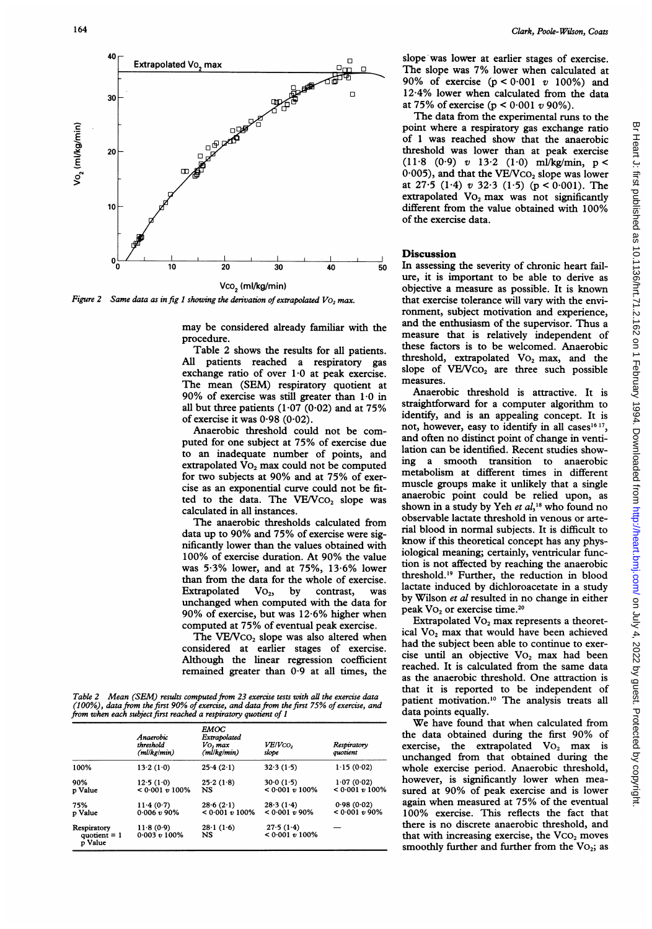

Figure 2 Same data as in fig 1 showing the derivation of extrapolated  $V_{\text{O}_2}$  max.

may be considered already familiar with the procedure.

Table 2 shows the results for all patients. All patients reached a respiratory gas exchange ratio of over  $1.0$  at peak exercise. The mean (SEM) respiratory quotient at 90% of exercise was still greater than  $1.0$  in all but three patients (1.07 (0.02) and at  $75\%$ of exercise it was  $0.98(0.02)$ .

Anaerobic threshold could not be computed for one subject at 75% of exercise due to an inadequate number of points, and extrapolated Vo<sub>2</sub> max could not be computed for two subjects at 90% and at 75% of exercise as an exponential curve could not be fitted to the data. The VE/VCO<sub>2</sub> slope was calculated in all instances.

The anaerobic thresholds calculated from data up to 90% and 75% of exercise were significantly lower than the values obtained with 100% of exercise duration. At 90% the value was 5-3% lower, and at 75%, 13-6% lower than from the data for the whole of exercise. Extrapolated  $Vo_2$ , by contrast, was unchanged when computed with the data for 90% of exercise, but was 12-6% higher when computed at 75% of eventual peak exercise.

The VE/Vco, slope was also altered when considered at earlier stages of exercise. Although the linear regression coefficient remained greater than  $0.9$  at all times, the

Table 2 Mean (SEM) results computed from 23 exercise tests with all the exercise data (100%), data from the first 90% of exercise, and data from the first 75% of exercise, and from when each subject first reached a respiratory quotient of <sup>1</sup>

|                                          | Anaerobic<br>threshold<br>$(m$ l/kg/m $m)$ | <b>EMOC</b><br>Extrapolated<br>Vo, max<br>$(m$ l/kg/min $)$ | VE/Vco,<br>slope               | Respiratory<br>quotient         |
|------------------------------------------|--------------------------------------------|-------------------------------------------------------------|--------------------------------|---------------------------------|
| 100%                                     | 13.2(1.0)                                  | 25.4(2.1)                                                   | 32.3(1.5)                      | 1.15(0.02)                      |
| 90%<br>p Value                           | 12.5(1.0)<br>$< 0.001 v 100\%$             | 25.2(1.8)<br><b>NS</b>                                      | 30.0(1.5)<br>$< 0.001 v 100\%$ | 1.07(0.02)<br>$< 0.001 v 100\%$ |
| 75%<br>p Value                           | 11.4(0.7)<br>0.006 v 90%                   | 28.6(2.1)<br>$< 0.001 v 100\%$                              | 28.3(1.4)<br>$< 0.001 v 90\%$  | 0.98(0.02)<br>$< 0.001 v 90\%$  |
| Respiratory<br>quotient $= 1$<br>p Value | 11.8(0.9)<br>0.003 v 100%                  | $28 \cdot 1(1.6)$<br><b>NS</b>                              | 27.5(1.4)<br>$< 0.001 v 100\%$ |                                 |

 $\Box$  slope was lower at earlier stages of exercise. The slope was 7% lower when calculated at 90% of exercise  $(p < 0.001 v 100%)$  and o 12-4% lower when calculated from the data at 75% of exercise ( $p < 0.001 v 90$ %).

The data from the experimental runs to the point where a respiratory gas exchange ratio of <sup>1</sup> was reached show that the anaerobic threshold was lower than at peak exercise  $(11.8 \t(0.9) v 13.2 \t(1.0) mJ/kg/min, p <$  $0.005$ ), and that the VE/VCO<sub>2</sub> slope was lower at  $27.5$  (1.4) v  $32.3$  (1.5) (p < 0.001). The extrapolated VO<sub>2</sub> max was not significantly different from the value obtained with 100% of the exercise data.

## **Discussion**

30 40 50 In assessing the severity of chronic heart failure, it is important to be able to derive as objective a measure as possible. It is known that exercise tolerance will vary with the environment, subject motivation and experience, and the enthusiasm of the supervisor. Thus a measure that is relatively independent of these factors is to be welcomed. Anaerobic threshold, extrapolated Vo, max, and the slope of VE/Vco<sub>2</sub> are three such possible measures.

Anaerobic threshold is attractive. It is straightforward for a computer algorithm to identify, and is an appealing concept. It is not, however, easy to identify in all cases<sup>16 17</sup>, and often no distinct point of change in ventilation can be identified. Recent studies showing a smooth transition to anaerobic metabolism at different times in different muscle groups make it unlikely that a single anaerobic point could be relied upon, as shown in a study by Yeh et al,<sup>18</sup> who found no observable lactate threshold in venous or arterial blood in normal subjects. It is difficult to know if this theoretical concept has any physiological meaning; certainly, ventricular function is not affected by reaching the anaerobic threshold.'9 Further, the reduction in blood lactate induced by dichloroacetate in a study by Wilson et al resulted in no change in either peak VO<sub>2</sub> or exercise time.<sup>20</sup>

Extrapolated VO<sub>2</sub> max represents a theoretical Vo<sub>2</sub> max that would have been achieved had the subject been able to continue to exercise until an objective VO<sub>2</sub> max had been reached. It is calculated from the same data as the anaerobic threshold. One attraction is that it is reported to be independent of patient motivation.'0 The analysis treats all data points equally.

We have found that when calculated from the data obtained during the first 90% of exercise, the extrapolated  $Vo_2$  max is unchanged from that obtained during the whole exercise period. Anaerobic threshold, however, is significantly lower when measured at 90% of peak exercise and is lower again when measured at 75% of the eventual 100% exercise. This reflects the fact that there is no discrete anaerobic threshold, and that with increasing exercise, the  $VCO<sub>2</sub>$  moves smoothly further and further from the  $Vo_2$ ; as